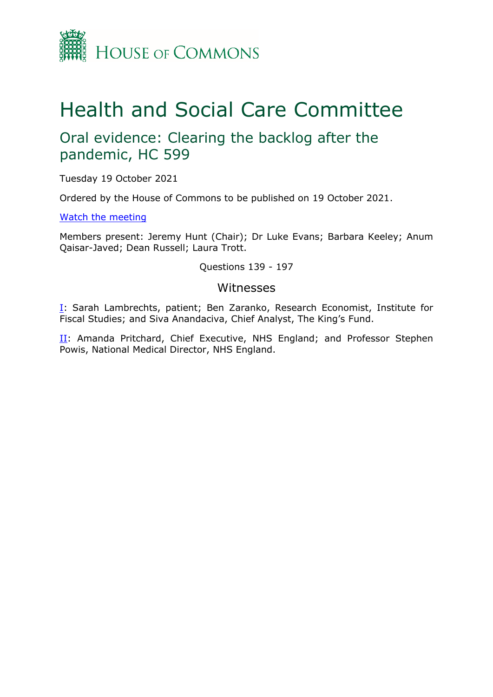

# Health and Social Care Committee

# Oral evidence: Clearing the backlog after the pandemic, HC 599

Tuesday 19 October 2021

Ordered by the House of Commons to be published on 19 October 2021.

[Watch](https://www.parliamentlive.tv/Event/Index/1096bae9-6eb8-45de-9e8e-a72ee26ec443) [the](https://www.parliamentlive.tv/Event/Index/1096bae9-6eb8-45de-9e8e-a72ee26ec443) [meeting](https://www.parliamentlive.tv/Event/Index/1096bae9-6eb8-45de-9e8e-a72ee26ec443)

Members present: Jeremy Hunt (Chair); Dr Luke Evans; Barbara Keeley; Anum Qaisar-Javed; Dean Russell; Laura Trott.

Questions 139 - 197

### Witnesses

[I:](#page-1-0) Sarah Lambrechts, patient; Ben Zaranko, Research Economist, Institute for Fiscal Studies; and Siva Anandaciva, Chief Analyst, The King's Fund.

[II](#page-13-0): Amanda Pritchard, Chief Executive, NHS England; and Professor Stephen Powis, National Medical Director, NHS England.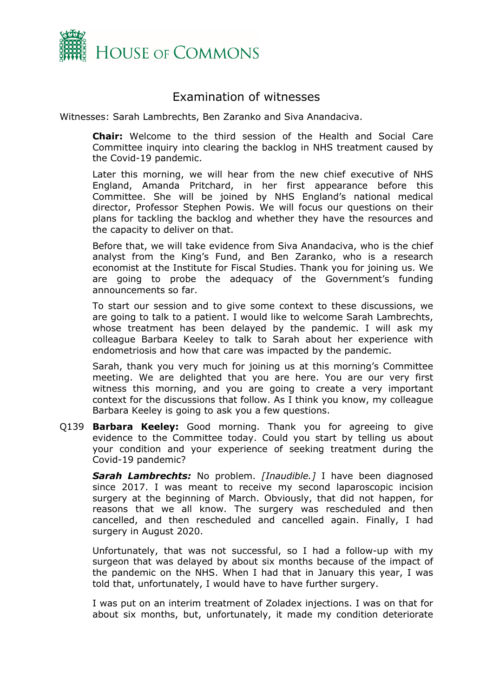

# <span id="page-1-0"></span>Examination of witnesses

Witnesses: Sarah Lambrechts, Ben Zaranko and Siva Anandaciva.

**Chair:** Welcome to the third session of the Health and Social Care Committee inquiry into clearing the backlog in NHS treatment caused by the Covid-19 pandemic.

Later this morning, we will hear from the new chief executive of NHS England, Amanda Pritchard, in her first appearance before this Committee. She will be joined by NHS England's national medical director, Professor Stephen Powis. We will focus our questions on their plans for tackling the backlog and whether they have the resources and the capacity to deliver on that.

Before that, we will take evidence from Siva Anandaciva, who is the chief analyst from the King's Fund, and Ben Zaranko, who is a research economist at the Institute for Fiscal Studies. Thank you for joining us. We are going to probe the adequacy of the Government's funding announcements so far.

To start our session and to give some context to these discussions, we are going to talk to a patient. I would like to welcome Sarah Lambrechts, whose treatment has been delayed by the pandemic. I will ask my colleague Barbara Keeley to talk to Sarah about her experience with endometriosis and how that care was impacted by the pandemic.

Sarah, thank you very much for joining us at this morning's Committee meeting. We are delighted that you are here. You are our very first witness this morning, and you are going to create a very important context for the discussions that follow. As I think you know, my colleague Barbara Keeley is going to ask you a few questions.

Q139 **Barbara Keeley:** Good morning. Thank you for agreeing to give evidence to the Committee today. Could you start by telling us about your condition and your experience of seeking treatment during the Covid-19 pandemic?

*Sarah Lambrechts:* No problem. *[Inaudible.]* I have been diagnosed since 2017. I was meant to receive my second laparoscopic incision surgery at the beginning of March. Obviously, that did not happen, for reasons that we all know. The surgery was rescheduled and then cancelled, and then rescheduled and cancelled again. Finally, I had surgery in August 2020.

Unfortunately, that was not successful, so I had a follow-up with my surgeon that was delayed by about six months because of the impact of the pandemic on the NHS. When I had that in January this year, I was told that, unfortunately, I would have to have further surgery.

I was put on an interim treatment of Zoladex injections. I was on that for about six months, but, unfortunately, it made my condition deteriorate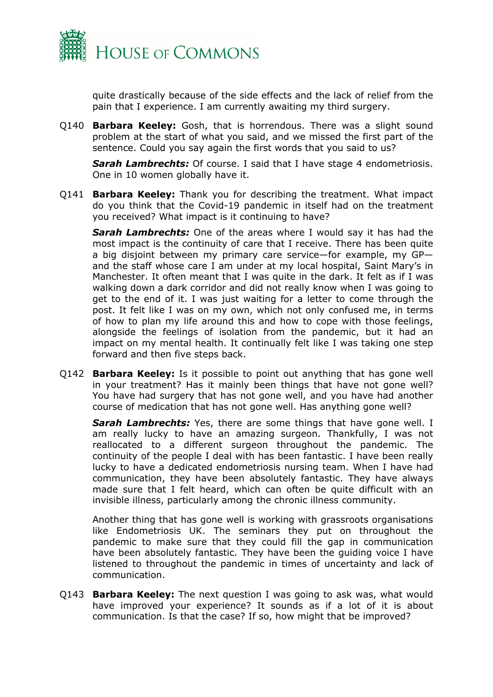

quite drastically because of the side effects and the lack of relief from the pain that I experience. I am currently awaiting my third surgery.

Q140 **Barbara Keeley:** Gosh, that is horrendous. There was a slight sound problem at the start of what you said, and we missed the first part of the sentence. Could you say again the first words that you said to us?

*Sarah Lambrechts:* Of course. I said that I have stage 4 endometriosis. One in 10 women globally have it.

Q141 **Barbara Keeley:** Thank you for describing the treatment. What impact do you think that the Covid-19 pandemic in itself had on the treatment you received? What impact is it continuing to have?

*Sarah Lambrechts:* One of the areas where I would say it has had the most impact is the continuity of care that I receive. There has been quite a big disjoint between my primary care service—for example, my GP and the staff whose care I am under at my local hospital, Saint Mary's in Manchester. It often meant that I was quite in the dark. It felt as if I was walking down a dark corridor and did not really know when I was going to get to the end of it. I was just waiting for a letter to come through the post. It felt like I was on my own, which not only confused me, in terms of how to plan my life around this and how to cope with those feelings, alongside the feelings of isolation from the pandemic, but it had an impact on my mental health. It continually felt like I was taking one step forward and then five steps back.

Q142 **Barbara Keeley:** Is it possible to point out anything that has gone well in your treatment? Has it mainly been things that have not gone well? You have had surgery that has not gone well, and you have had another course of medication that has not gone well. Has anything gone well?

*Sarah Lambrechts:* Yes, there are some things that have gone well. I am really lucky to have an amazing surgeon. Thankfully, I was not reallocated to a different surgeon throughout the pandemic. The continuity of the people I deal with has been fantastic. I have been really lucky to have a dedicated endometriosis nursing team. When I have had communication, they have been absolutely fantastic. They have always made sure that I felt heard, which can often be quite difficult with an invisible illness, particularly among the chronic illness community.

Another thing that has gone well is working with grassroots organisations like Endometriosis UK. The seminars they put on throughout the pandemic to make sure that they could fill the gap in communication have been absolutely fantastic. They have been the guiding voice I have listened to throughout the pandemic in times of uncertainty and lack of communication.

Q143 **Barbara Keeley:** The next question I was going to ask was, what would have improved your experience? It sounds as if a lot of it is about communication. Is that the case? If so, how might that be improved?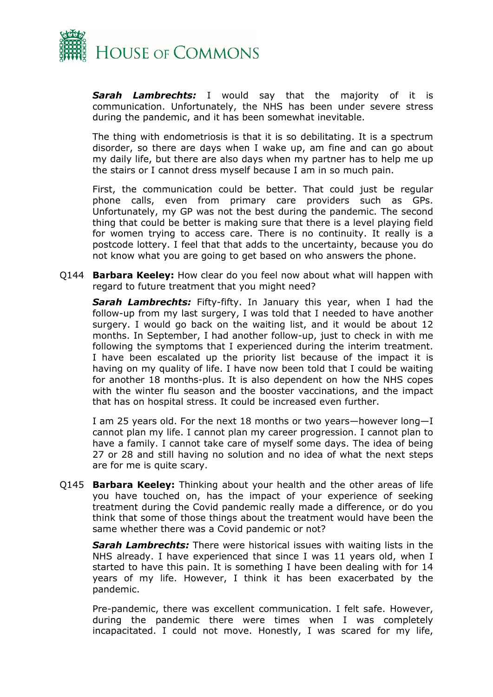

*Sarah Lambrechts:* I would say that the majority of it is communication. Unfortunately, the NHS has been under severe stress during the pandemic, and it has been somewhat inevitable.

The thing with endometriosis is that it is so debilitating. It is a spectrum disorder, so there are days when I wake up, am fine and can go about my daily life, but there are also days when my partner has to help me up the stairs or I cannot dress myself because I am in so much pain.

First, the communication could be better. That could just be regular phone calls, even from primary care providers such as GPs. Unfortunately, my GP was not the best during the pandemic. The second thing that could be better is making sure that there is a level playing field for women trying to access care. There is no continuity. It really is a postcode lottery. I feel that that adds to the uncertainty, because you do not know what you are going to get based on who answers the phone.

Q144 **Barbara Keeley:** How clear do you feel now about what will happen with regard to future treatment that you might need?

*Sarah Lambrechts:* Fifty-fifty. In January this year, when I had the follow-up from my last surgery, I was told that I needed to have another surgery. I would go back on the waiting list, and it would be about 12 months. In September, I had another follow-up, just to check in with me following the symptoms that I experienced during the interim treatment. I have been escalated up the priority list because of the impact it is having on my quality of life. I have now been told that I could be waiting for another 18 months-plus. It is also dependent on how the NHS copes with the winter flu season and the booster vaccinations, and the impact that has on hospital stress. It could be increased even further.

I am 25 years old. For the next 18 months or two years—however long—I cannot plan my life. I cannot plan my career progression. I cannot plan to have a family. I cannot take care of myself some days. The idea of being 27 or 28 and still having no solution and no idea of what the next steps are for me is quite scary.

Q145 **Barbara Keeley:** Thinking about your health and the other areas of life you have touched on, has the impact of your experience of seeking treatment during the Covid pandemic really made a difference, or do you think that some of those things about the treatment would have been the same whether there was a Covid pandemic or not?

*Sarah Lambrechts:* There were historical issues with waiting lists in the NHS already. I have experienced that since I was 11 years old, when I started to have this pain. It is something I have been dealing with for 14 years of my life. However, I think it has been exacerbated by the pandemic.

Pre-pandemic, there was excellent communication. I felt safe. However, during the pandemic there were times when I was completely incapacitated. I could not move. Honestly, I was scared for my life,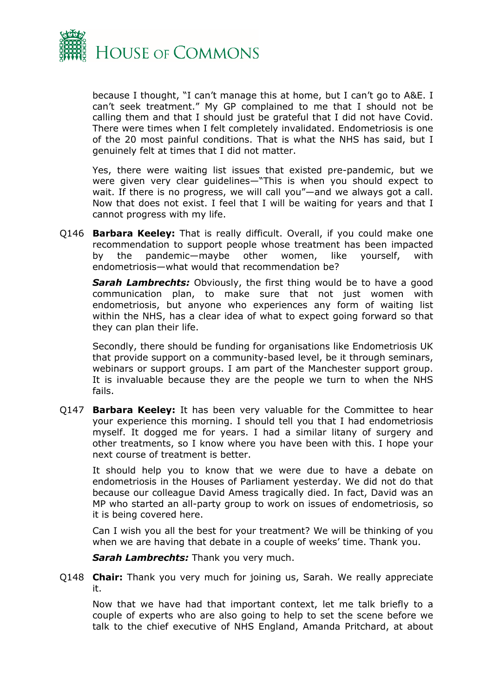

because I thought, "I can't manage this at home, but I can't go to A&E. I can't seek treatment." My GP complained to me that I should not be calling them and that I should just be grateful that I did not have Covid. There were times when I felt completely invalidated. Endometriosis is one of the 20 most painful conditions. That is what the NHS has said, but I genuinely felt at times that I did not matter.

Yes, there were waiting list issues that existed pre-pandemic, but we were given very clear guidelines—"This is when you should expect to wait. If there is no progress, we will call you"—and we always got a call. Now that does not exist. I feel that I will be waiting for years and that I cannot progress with my life.

Q146 **Barbara Keeley:** That is really difficult. Overall, if you could make one recommendation to support people whose treatment has been impacted by the pandemic—maybe other women, like yourself, with endometriosis—what would that recommendation be?

*Sarah Lambrechts:* Obviously, the first thing would be to have a good communication plan, to make sure that not just women with endometriosis, but anyone who experiences any form of waiting list within the NHS, has a clear idea of what to expect going forward so that they can plan their life.

Secondly, there should be funding for organisations like Endometriosis UK that provide support on a community-based level, be it through seminars, webinars or support groups. I am part of the Manchester support group. It is invaluable because they are the people we turn to when the NHS fails.

Q147 **Barbara Keeley:** It has been very valuable for the Committee to hear your experience this morning. I should tell you that I had endometriosis myself. It dogged me for years. I had a similar litany of surgery and other treatments, so I know where you have been with this. I hope your next course of treatment is better.

It should help you to know that we were due to have a debate on endometriosis in the Houses of Parliament yesterday. We did not do that because our colleague David Amess tragically died. In fact, David was an MP who started an all-party group to work on issues of endometriosis, so it is being covered here.

Can I wish you all the best for your treatment? We will be thinking of you when we are having that debate in a couple of weeks' time. Thank you.

*Sarah Lambrechts:* Thank you very much.

Q148 **Chair:** Thank you very much for joining us, Sarah. We really appreciate it.

Now that we have had that important context, let me talk briefly to a couple of experts who are also going to help to set the scene before we talk to the chief executive of NHS England, Amanda Pritchard, at about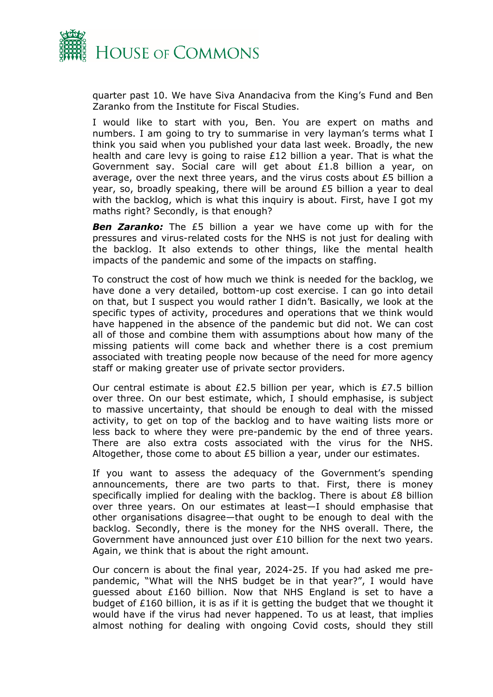

quarter past 10. We have Siva Anandaciva from the King's Fund and Ben Zaranko from the Institute for Fiscal Studies.

I would like to start with you, Ben. You are expert on maths and numbers. I am going to try to summarise in very layman's terms what I think you said when you published your data last week. Broadly, the new health and care levy is going to raise £12 billion a year. That is what the Government say. Social care will get about £1.8 billion a year, on average, over the next three years, and the virus costs about £5 billion a year, so, broadly speaking, there will be around £5 billion a year to deal with the backlog, which is what this inquiry is about. First, have I got my maths right? Secondly, is that enough?

*Ben Zaranko:* The £5 billion a year we have come up with for the pressures and virus-related costs for the NHS is not just for dealing with the backlog. It also extends to other things, like the mental health impacts of the pandemic and some of the impacts on staffing.

To construct the cost of how much we think is needed for the backlog, we have done a very detailed, bottom-up cost exercise. I can go into detail on that, but I suspect you would rather I didn't. Basically, we look at the specific types of activity, procedures and operations that we think would have happened in the absence of the pandemic but did not. We can cost all of those and combine them with assumptions about how many of the missing patients will come back and whether there is a cost premium associated with treating people now because of the need for more agency staff or making greater use of private sector providers.

Our central estimate is about £2.5 billion per year, which is £7.5 billion over three. On our best estimate, which, I should emphasise, is subject to massive uncertainty, that should be enough to deal with the missed activity, to get on top of the backlog and to have waiting lists more or less back to where they were pre-pandemic by the end of three years. There are also extra costs associated with the virus for the NHS. Altogether, those come to about £5 billion a year, under our estimates.

If you want to assess the adequacy of the Government's spending announcements, there are two parts to that. First, there is money specifically implied for dealing with the backlog. There is about £8 billion over three years. On our estimates at least—I should emphasise that other organisations disagree—that ought to be enough to deal with the backlog. Secondly, there is the money for the NHS overall. There, the Government have announced just over £10 billion for the next two years. Again, we think that is about the right amount.

Our concern is about the final year, 2024-25. If you had asked me prepandemic, "What will the NHS budget be in that year?", I would have guessed about £160 billion. Now that NHS England is set to have a budget of  $£160$  billion, it is as if it is getting the budget that we thought it would have if the virus had never happened. To us at least, that implies almost nothing for dealing with ongoing Covid costs, should they still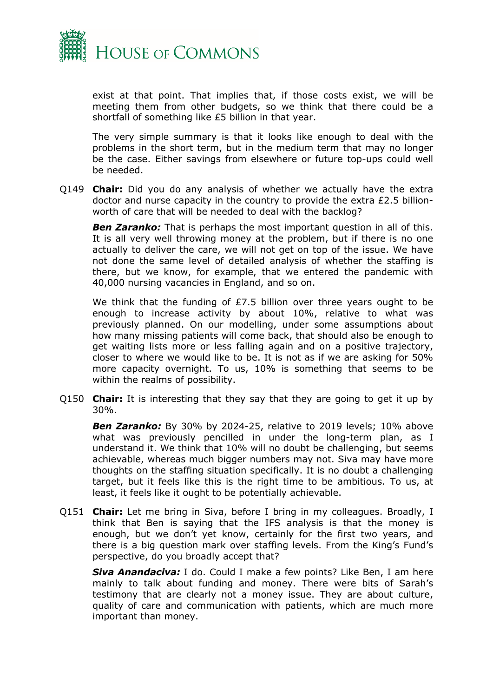

exist at that point. That implies that, if those costs exist, we will be meeting them from other budgets, so we think that there could be a shortfall of something like £5 billion in that year.

The very simple summary is that it looks like enough to deal with the problems in the short term, but in the medium term that may no longer be the case. Either savings from elsewhere or future top-ups could well be needed.

Q149 **Chair:** Did you do any analysis of whether we actually have the extra doctor and nurse capacity in the country to provide the extra £2.5 billionworth of care that will be needed to deal with the backlog?

*Ben Zaranko:* That is perhaps the most important question in all of this. It is all very well throwing money at the problem, but if there is no one actually to deliver the care, we will not get on top of the issue. We have not done the same level of detailed analysis of whether the staffing is there, but we know, for example, that we entered the pandemic with 40,000 nursing vacancies in England, and so on.

We think that the funding of £7.5 billion over three years ought to be enough to increase activity by about 10%, relative to what was previously planned. On our modelling, under some assumptions about how many missing patients will come back, that should also be enough to get waiting lists more or less falling again and on a positive trajectory, closer to where we would like to be. It is not as if we are asking for 50% more capacity overnight. To us, 10% is something that seems to be within the realms of possibility.

Q150 **Chair:** It is interesting that they say that they are going to get it up by 30%.

*Ben Zaranko:* By 30% by 2024-25, relative to 2019 levels; 10% above what was previously pencilled in under the long-term plan, as I understand it. We think that 10% will no doubt be challenging, but seems achievable, whereas much bigger numbers may not. Siva may have more thoughts on the staffing situation specifically. It is no doubt a challenging target, but it feels like this is the right time to be ambitious. To us, at least, it feels like it ought to be potentially achievable.

Q151 **Chair:** Let me bring in Siva, before I bring in my colleagues. Broadly, I think that Ben is saying that the IFS analysis is that the money is enough, but we don't yet know, certainly for the first two years, and there is a big question mark over staffing levels. From the King's Fund's perspective, do you broadly accept that?

*Siva Anandaciva:* I do. Could I make a few points? Like Ben, I am here mainly to talk about funding and money. There were bits of Sarah's testimony that are clearly not a money issue. They are about culture, quality of care and communication with patients, which are much more important than money.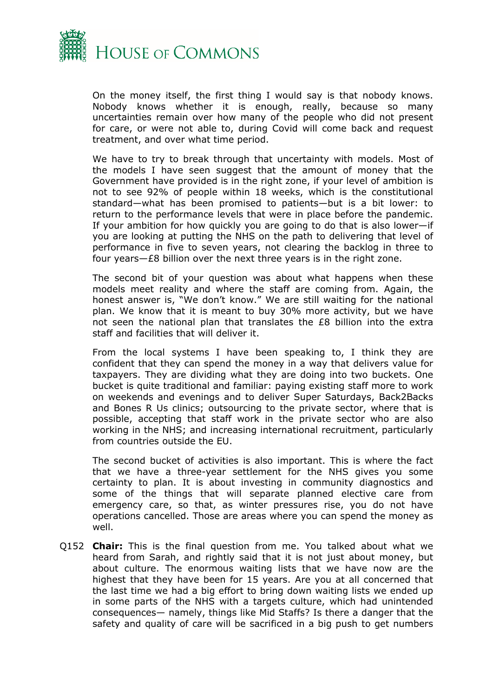

On the money itself, the first thing I would say is that nobody knows. Nobody knows whether it is enough, really, because so many uncertainties remain over how many of the people who did not present for care, or were not able to, during Covid will come back and request treatment, and over what time period.

We have to try to break through that uncertainty with models. Most of the models I have seen suggest that the amount of money that the Government have provided is in the right zone, if your level of ambition is not to see 92% of people within 18 weeks, which is the constitutional standard—what has been promised to patients—but is a bit lower: to return to the performance levels that were in place before the pandemic. If your ambition for how quickly you are going to do that is also lower—if you are looking at putting the NHS on the path to delivering that level of performance in five to seven years, not clearing the backlog in three to four years—£8 billion over the next three years is in the right zone.

The second bit of your question was about what happens when these models meet reality and where the staff are coming from. Again, the honest answer is, "We don't know." We are still waiting for the national plan. We know that it is meant to buy 30% more activity, but we have not seen the national plan that translates the £8 billion into the extra staff and facilities that will deliver it.

From the local systems I have been speaking to, I think they are confident that they can spend the money in a way that delivers value for taxpayers. They are dividing what they are doing into two buckets. One bucket is quite traditional and familiar: paying existing staff more to work on weekends and evenings and to deliver Super Saturdays, Back2Backs and Bones R Us clinics; outsourcing to the private sector, where that is possible, accepting that staff work in the private sector who are also working in the NHS; and increasing international recruitment, particularly from countries outside the EU.

The second bucket of activities is also important. This is where the fact that we have a three-year settlement for the NHS gives you some certainty to plan. It is about investing in community diagnostics and some of the things that will separate planned elective care from emergency care, so that, as winter pressures rise, you do not have operations cancelled. Those are areas where you can spend the money as well.

Q152 **Chair:** This is the final question from me. You talked about what we heard from Sarah, and rightly said that it is not just about money, but about culture. The enormous waiting lists that we have now are the highest that they have been for 15 years. Are you at all concerned that the last time we had a big effort to bring down waiting lists we ended up in some parts of the NHS with a targets culture, which had unintended consequences— namely, things like Mid Staffs? Is there a danger that the safety and quality of care will be sacrificed in a big push to get numbers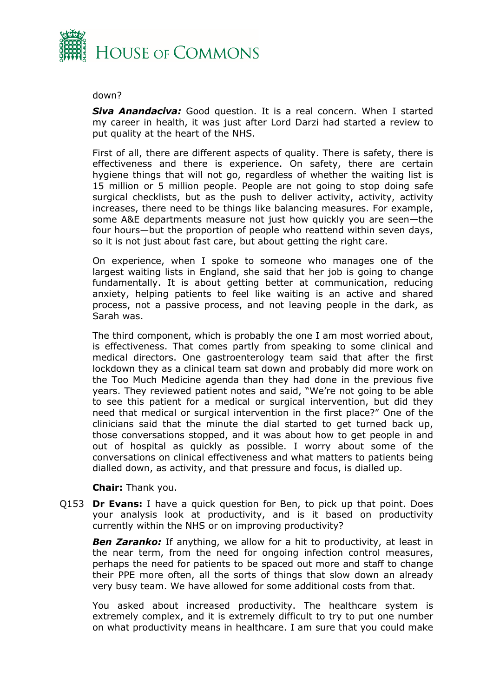

#### down?

*Siva Anandaciva:* Good question. It is a real concern. When I started my career in health, it was just after Lord Darzi had started a review to put quality at the heart of the NHS.

First of all, there are different aspects of quality. There is safety, there is effectiveness and there is experience. On safety, there are certain hygiene things that will not go, regardless of whether the waiting list is 15 million or 5 million people. People are not going to stop doing safe surgical checklists, but as the push to deliver activity, activity, activity increases, there need to be things like balancing measures. For example, some A&E departments measure not just how quickly you are seen—the four hours—but the proportion of people who reattend within seven days, so it is not just about fast care, but about getting the right care.

On experience, when I spoke to someone who manages one of the largest waiting lists in England, she said that her job is going to change fundamentally. It is about getting better at communication, reducing anxiety, helping patients to feel like waiting is an active and shared process, not a passive process, and not leaving people in the dark, as Sarah was.

The third component, which is probably the one I am most worried about, is effectiveness. That comes partly from speaking to some clinical and medical directors. One gastroenterology team said that after the first lockdown they as a clinical team sat down and probably did more work on the Too Much Medicine agenda than they had done in the previous five years. They reviewed patient notes and said, "We're not going to be able to see this patient for a medical or surgical intervention, but did they need that medical or surgical intervention in the first place?" One of the clinicians said that the minute the dial started to get turned back up, those conversations stopped, and it was about how to get people in and out of hospital as quickly as possible. I worry about some of the conversations on clinical effectiveness and what matters to patients being dialled down, as activity, and that pressure and focus, is dialled up.

**Chair:** Thank you.

Q153 **Dr Evans:** I have a quick question for Ben, to pick up that point. Does your analysis look at productivity, and is it based on productivity currently within the NHS or on improving productivity?

*Ben Zaranko:* If anything, we allow for a hit to productivity, at least in the near term, from the need for ongoing infection control measures, perhaps the need for patients to be spaced out more and staff to change their PPE more often, all the sorts of things that slow down an already very busy team. We have allowed for some additional costs from that.

You asked about increased productivity. The healthcare system is extremely complex, and it is extremely difficult to try to put one number on what productivity means in healthcare. I am sure that you could make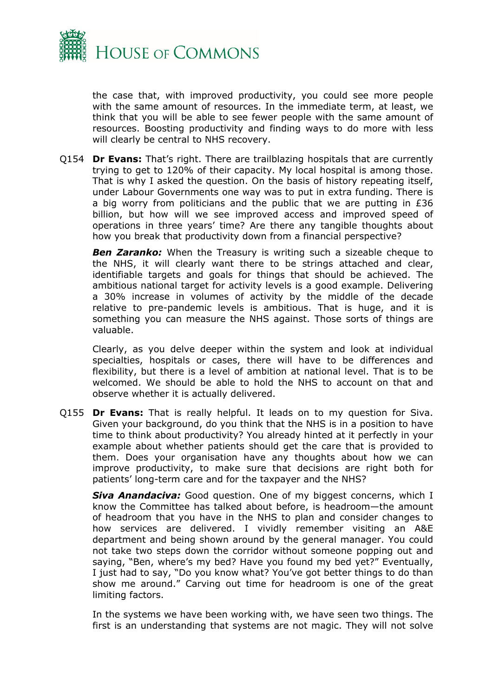

the case that, with improved productivity, you could see more people with the same amount of resources. In the immediate term, at least, we think that you will be able to see fewer people with the same amount of resources. Boosting productivity and finding ways to do more with less will clearly be central to NHS recovery.

Q154 **Dr Evans:** That's right. There are trailblazing hospitals that are currently trying to get to 120% of their capacity. My local hospital is among those. That is why I asked the question. On the basis of history repeating itself, under Labour Governments one way was to put in extra funding. There is a big worry from politicians and the public that we are putting in £36 billion, but how will we see improved access and improved speed of operations in three years' time? Are there any tangible thoughts about how you break that productivity down from a financial perspective?

**Ben Zaranko:** When the Treasury is writing such a sizeable cheque to the NHS, it will clearly want there to be strings attached and clear, identifiable targets and goals for things that should be achieved. The ambitious national target for activity levels is a good example. Delivering a 30% increase in volumes of activity by the middle of the decade relative to pre-pandemic levels is ambitious. That is huge, and it is something you can measure the NHS against. Those sorts of things are valuable.

Clearly, as you delve deeper within the system and look at individual specialties, hospitals or cases, there will have to be differences and flexibility, but there is a level of ambition at national level. That is to be welcomed. We should be able to hold the NHS to account on that and observe whether it is actually delivered.

Q155 **Dr Evans:** That is really helpful. It leads on to my question for Siva. Given your background, do you think that the NHS is in a position to have time to think about productivity? You already hinted at it perfectly in your example about whether patients should get the care that is provided to them. Does your organisation have any thoughts about how we can improve productivity, to make sure that decisions are right both for patients' long-term care and for the taxpayer and the NHS?

*Siva Anandaciva:* Good question. One of my biggest concerns, which I know the Committee has talked about before, is headroom—the amount of headroom that you have in the NHS to plan and consider changes to how services are delivered. I vividly remember visiting an A&E department and being shown around by the general manager. You could not take two steps down the corridor without someone popping out and saying, "Ben, where's my bed? Have you found my bed yet?" Eventually, I just had to say, "Do you know what? You've got better things to do than show me around." Carving out time for headroom is one of the great limiting factors.

In the systems we have been working with, we have seen two things. The first is an understanding that systems are not magic. They will not solve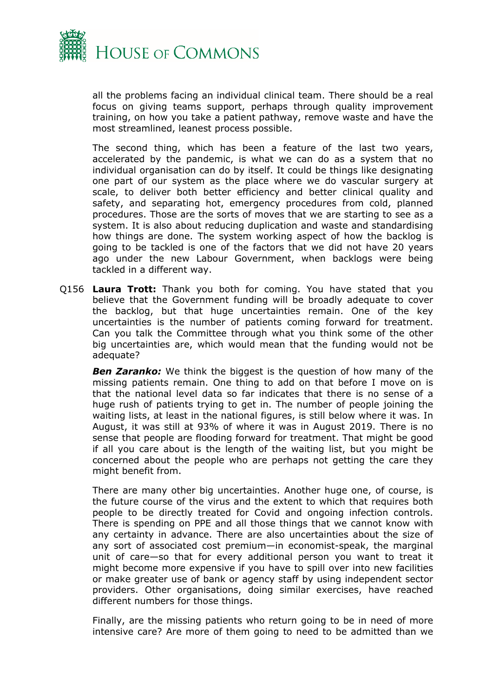

all the problems facing an individual clinical team. There should be a real focus on giving teams support, perhaps through quality improvement training, on how you take a patient pathway, remove waste and have the most streamlined, leanest process possible.

The second thing, which has been a feature of the last two years, accelerated by the pandemic, is what we can do as a system that no individual organisation can do by itself. It could be things like designating one part of our system as the place where we do vascular surgery at scale, to deliver both better efficiency and better clinical quality and safety, and separating hot, emergency procedures from cold, planned procedures. Those are the sorts of moves that we are starting to see as a system. It is also about reducing duplication and waste and standardising how things are done. The system working aspect of how the backlog is going to be tackled is one of the factors that we did not have 20 years ago under the new Labour Government, when backlogs were being tackled in a different way.

Q156 **Laura Trott:** Thank you both for coming. You have stated that you believe that the Government funding will be broadly adequate to cover the backlog, but that huge uncertainties remain. One of the key uncertainties is the number of patients coming forward for treatment. Can you talk the Committee through what you think some of the other big uncertainties are, which would mean that the funding would not be adequate?

*Ben Zaranko:* We think the biggest is the question of how many of the missing patients remain. One thing to add on that before I move on is that the national level data so far indicates that there is no sense of a huge rush of patients trying to get in. The number of people joining the waiting lists, at least in the national figures, is still below where it was. In August, it was still at 93% of where it was in August 2019. There is no sense that people are flooding forward for treatment. That might be good if all you care about is the length of the waiting list, but you might be concerned about the people who are perhaps not getting the care they might benefit from.

There are many other big uncertainties. Another huge one, of course, is the future course of the virus and the extent to which that requires both people to be directly treated for Covid and ongoing infection controls. There is spending on PPE and all those things that we cannot know with any certainty in advance. There are also uncertainties about the size of any sort of associated cost premium—in economist-speak, the marginal unit of care—so that for every additional person you want to treat it might become more expensive if you have to spill over into new facilities or make greater use of bank or agency staff by using independent sector providers. Other organisations, doing similar exercises, have reached different numbers for those things.

Finally, are the missing patients who return going to be in need of more intensive care? Are more of them going to need to be admitted than we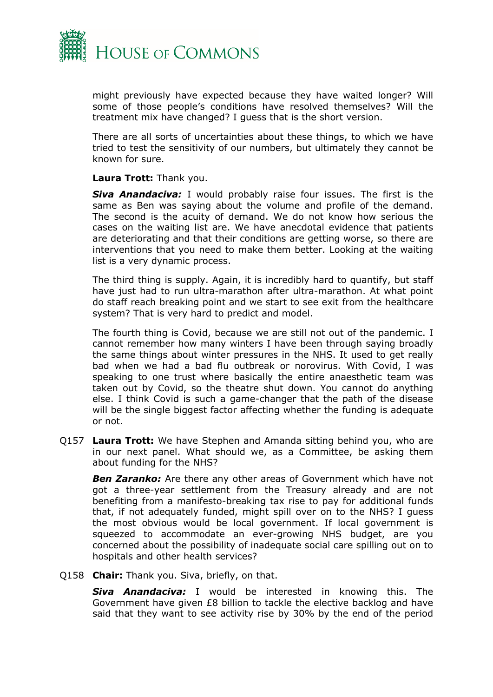

might previously have expected because they have waited longer? Will some of those people's conditions have resolved themselves? Will the treatment mix have changed? I guess that is the short version.

There are all sorts of uncertainties about these things, to which we have tried to test the sensitivity of our numbers, but ultimately they cannot be known for sure.

#### **Laura Trott:** Thank you.

*Siva Anandaciva:* I would probably raise four issues. The first is the same as Ben was saying about the volume and profile of the demand. The second is the acuity of demand. We do not know how serious the cases on the waiting list are. We have anecdotal evidence that patients are deteriorating and that their conditions are getting worse, so there are interventions that you need to make them better. Looking at the waiting list is a very dynamic process.

The third thing is supply. Again, it is incredibly hard to quantify, but staff have just had to run ultra-marathon after ultra-marathon. At what point do staff reach breaking point and we start to see exit from the healthcare system? That is very hard to predict and model.

The fourth thing is Covid, because we are still not out of the pandemic. I cannot remember how many winters I have been through saying broadly the same things about winter pressures in the NHS. It used to get really bad when we had a bad flu outbreak or norovirus. With Covid, I was speaking to one trust where basically the entire anaesthetic team was taken out by Covid, so the theatre shut down. You cannot do anything else. I think Covid is such a game-changer that the path of the disease will be the single biggest factor affecting whether the funding is adequate or not.

Q157 **Laura Trott:** We have Stephen and Amanda sitting behind you, who are in our next panel. What should we, as a Committee, be asking them about funding for the NHS?

*Ben Zaranko:* Are there any other areas of Government which have not got a three-year settlement from the Treasury already and are not benefiting from a manifesto-breaking tax rise to pay for additional funds that, if not adequately funded, might spill over on to the NHS? I guess the most obvious would be local government. If local government is squeezed to accommodate an ever-growing NHS budget, are you concerned about the possibility of inadequate social care spilling out on to hospitals and other health services?

Q158 **Chair:** Thank you. Siva, briefly, on that.

*Siva Anandaciva:* I would be interested in knowing this. The Government have given £8 billion to tackle the elective backlog and have said that they want to see activity rise by 30% by the end of the period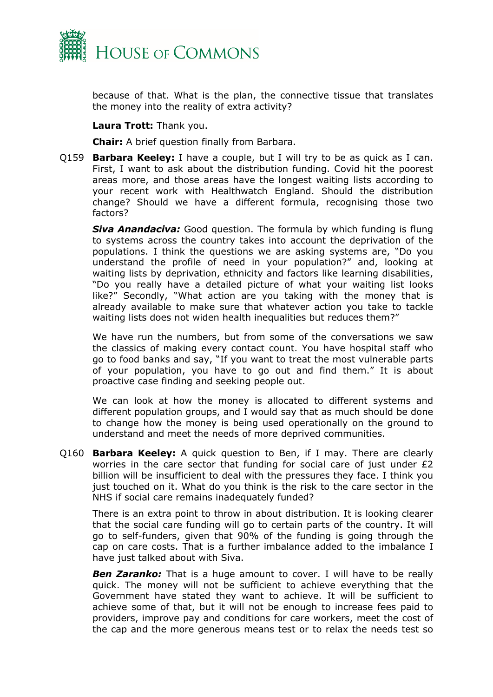

because of that. What is the plan, the connective tissue that translates the money into the reality of extra activity?

#### **Laura Trott:** Thank you.

**Chair:** A brief question finally from Barbara.

Q159 **Barbara Keeley:** I have a couple, but I will try to be as quick as I can. First, I want to ask about the distribution funding. Covid hit the poorest areas more, and those areas have the longest waiting lists according to your recent work with Healthwatch England. Should the distribution change? Should we have a different formula, recognising those two factors?

*Siva Anandaciva:* Good question. The formula by which funding is flung to systems across the country takes into account the deprivation of the populations. I think the questions we are asking systems are, "Do you understand the profile of need in your population?" and, looking at waiting lists by deprivation, ethnicity and factors like learning disabilities, "Do you really have a detailed picture of what your waiting list looks like?" Secondly, "What action are you taking with the money that is already available to make sure that whatever action you take to tackle waiting lists does not widen health inequalities but reduces them?"

We have run the numbers, but from some of the conversations we saw the classics of making every contact count. You have hospital staff who go to food banks and say, "If you want to treat the most vulnerable parts of your population, you have to go out and find them." It is about proactive case finding and seeking people out.

We can look at how the money is allocated to different systems and different population groups, and I would say that as much should be done to change how the money is being used operationally on the ground to understand and meet the needs of more deprived communities.

Q160 **Barbara Keeley:** A quick question to Ben, if I may. There are clearly worries in the care sector that funding for social care of just under £2 billion will be insufficient to deal with the pressures they face. I think you just touched on it. What do you think is the risk to the care sector in the NHS if social care remains inadequately funded?

There is an extra point to throw in about distribution. It is looking clearer that the social care funding will go to certain parts of the country. It will go to self-funders, given that 90% of the funding is going through the cap on care costs. That is a further imbalance added to the imbalance I have just talked about with Siva.

**Ben Zaranko:** That is a huge amount to cover. I will have to be really quick. The money will not be sufficient to achieve everything that the Government have stated they want to achieve. It will be sufficient to achieve some of that, but it will not be enough to increase fees paid to providers, improve pay and conditions for care workers, meet the cost of the cap and the more generous means test or to relax the needs test so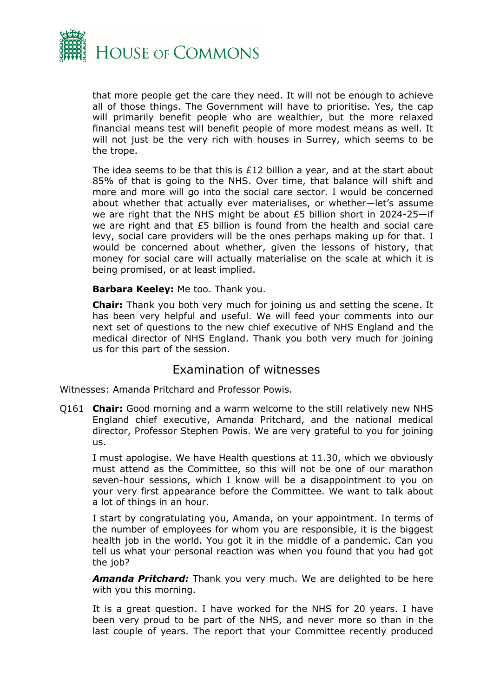

that more people get the care they need. It will not be enough to achieve all of those things. The Government will have to prioritise. Yes, the cap will primarily benefit people who are wealthier, but the more relaxed financial means test will benefit people of more modest means as well. It will not just be the very rich with houses in Surrey, which seems to be the trope.

The idea seems to be that this is £12 billion a year, and at the start about 85% of that is going to the NHS. Over time, that balance will shift and more and more will go into the social care sector. I would be concerned about whether that actually ever materialises, or whether—let's assume we are right that the NHS might be about £5 billion short in 2024-25—if we are right and that £5 billion is found from the health and social care levy, social care providers will be the ones perhaps making up for that. I would be concerned about whether, given the lessons of history, that money for social care will actually materialise on the scale at which it is being promised, or at least implied.

#### **Barbara Keeley:** Me too. Thank you.

**Chair:** Thank you both very much for joining us and setting the scene. It has been very helpful and useful. We will feed your comments into our next set of questions to the new chief executive of NHS England and the medical director of NHS England. Thank you both very much for joining us for this part of the session.

## <span id="page-13-0"></span>Examination of witnesses

Witnesses: Amanda Pritchard and Professor Powis.

Q161 **Chair:** Good morning and a warm welcome to the still relatively new NHS England chief executive, Amanda Pritchard, and the national medical director, Professor Stephen Powis. We are very grateful to you for joining us.

I must apologise. We have Health questions at 11.30, which we obviously must attend as the Committee, so this will not be one of our marathon seven-hour sessions, which I know will be a disappointment to you on your very first appearance before the Committee. We want to talk about a lot of things in an hour.

I start by congratulating you, Amanda, on your appointment. In terms of the number of employees for whom you are responsible, it is the biggest health job in the world. You got it in the middle of a pandemic. Can you tell us what your personal reaction was when you found that you had got the job?

*Amanda Pritchard:* Thank you very much. We are delighted to be here with you this morning.

It is a great question. I have worked for the NHS for 20 years. I have been very proud to be part of the NHS, and never more so than in the last couple of years. The report that your Committee recently produced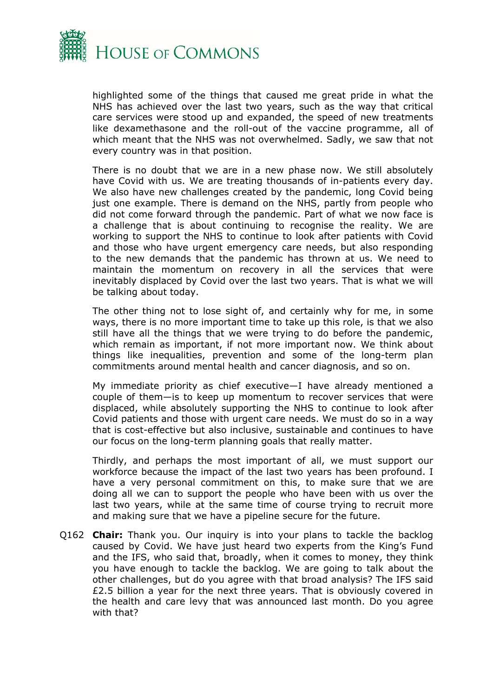

highlighted some of the things that caused me great pride in what the NHS has achieved over the last two years, such as the way that critical care services were stood up and expanded, the speed of new treatments like dexamethasone and the roll-out of the vaccine programme, all of which meant that the NHS was not overwhelmed. Sadly, we saw that not every country was in that position.

There is no doubt that we are in a new phase now. We still absolutely have Covid with us. We are treating thousands of in-patients every day. We also have new challenges created by the pandemic, long Covid being just one example. There is demand on the NHS, partly from people who did not come forward through the pandemic. Part of what we now face is a challenge that is about continuing to recognise the reality. We are working to support the NHS to continue to look after patients with Covid and those who have urgent emergency care needs, but also responding to the new demands that the pandemic has thrown at us. We need to maintain the momentum on recovery in all the services that were inevitably displaced by Covid over the last two years. That is what we will be talking about today.

The other thing not to lose sight of, and certainly why for me, in some ways, there is no more important time to take up this role, is that we also still have all the things that we were trying to do before the pandemic, which remain as important, if not more important now. We think about things like inequalities, prevention and some of the long-term plan commitments around mental health and cancer diagnosis, and so on.

My immediate priority as chief executive—I have already mentioned a couple of them—is to keep up momentum to recover services that were displaced, while absolutely supporting the NHS to continue to look after Covid patients and those with urgent care needs. We must do so in a way that is cost-effective but also inclusive, sustainable and continues to have our focus on the long-term planning goals that really matter.

Thirdly, and perhaps the most important of all, we must support our workforce because the impact of the last two years has been profound. I have a very personal commitment on this, to make sure that we are doing all we can to support the people who have been with us over the last two years, while at the same time of course trying to recruit more and making sure that we have a pipeline secure for the future.

Q162 **Chair:** Thank you. Our inquiry is into your plans to tackle the backlog caused by Covid. We have just heard two experts from the King's Fund and the IFS, who said that, broadly, when it comes to money, they think you have enough to tackle the backlog. We are going to talk about the other challenges, but do you agree with that broad analysis? The IFS said £2.5 billion a year for the next three years. That is obviously covered in the health and care levy that was announced last month. Do you agree with that?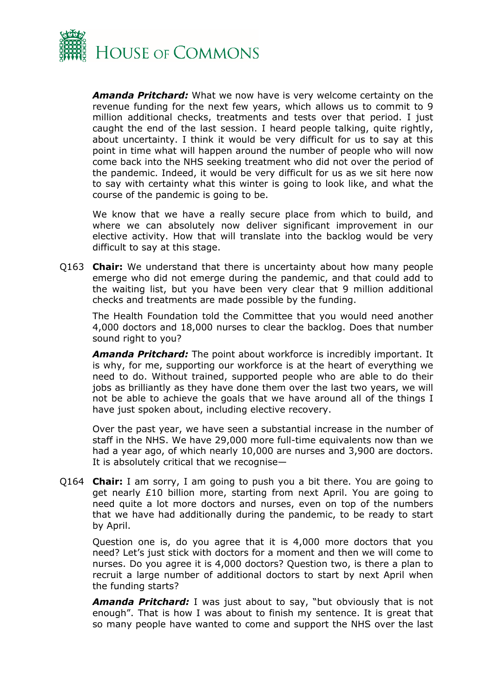

*Amanda Pritchard:* What we now have is very welcome certainty on the revenue funding for the next few years, which allows us to commit to 9 million additional checks, treatments and tests over that period. I just caught the end of the last session. I heard people talking, quite rightly, about uncertainty. I think it would be very difficult for us to say at this point in time what will happen around the number of people who will now come back into the NHS seeking treatment who did not over the period of the pandemic. Indeed, it would be very difficult for us as we sit here now to say with certainty what this winter is going to look like, and what the course of the pandemic is going to be.

We know that we have a really secure place from which to build, and where we can absolutely now deliver significant improvement in our elective activity. How that will translate into the backlog would be very difficult to say at this stage.

Q163 **Chair:** We understand that there is uncertainty about how many people emerge who did not emerge during the pandemic, and that could add to the waiting list, but you have been very clear that 9 million additional checks and treatments are made possible by the funding.

The Health Foundation told the Committee that you would need another 4,000 doctors and 18,000 nurses to clear the backlog. Does that number sound right to you?

*Amanda Pritchard:* The point about workforce is incredibly important. It is why, for me, supporting our workforce is at the heart of everything we need to do. Without trained, supported people who are able to do their jobs as brilliantly as they have done them over the last two years, we will not be able to achieve the goals that we have around all of the things I have just spoken about, including elective recovery.

Over the past year, we have seen a substantial increase in the number of staff in the NHS. We have 29,000 more full-time equivalents now than we had a year ago, of which nearly 10,000 are nurses and 3,900 are doctors. It is absolutely critical that we recognise—

Q164 **Chair:** I am sorry, I am going to push you a bit there. You are going to get nearly £10 billion more, starting from next April. You are going to need quite a lot more doctors and nurses, even on top of the numbers that we have had additionally during the pandemic, to be ready to start by April.

Question one is, do you agree that it is 4,000 more doctors that you need? Let's just stick with doctors for a moment and then we will come to nurses. Do you agree it is 4,000 doctors? Question two, is there a plan to recruit a large number of additional doctors to start by next April when the funding starts?

*Amanda Pritchard:* I was just about to say, "but obviously that is not enough". That is how I was about to finish my sentence. It is great that so many people have wanted to come and support the NHS over the last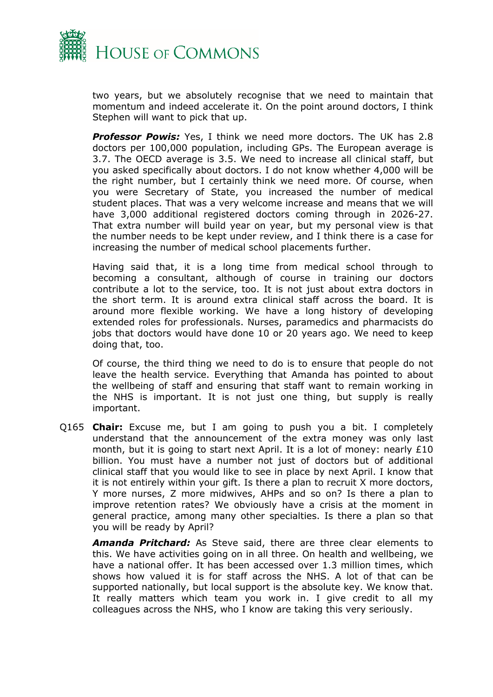

two years, but we absolutely recognise that we need to maintain that momentum and indeed accelerate it. On the point around doctors, I think Stephen will want to pick that up.

*Professor Powis:* Yes, I think we need more doctors. The UK has 2.8 doctors per 100,000 population, including GPs. The European average is 3.7. The OECD average is 3.5. We need to increase all clinical staff, but you asked specifically about doctors. I do not know whether 4,000 will be the right number, but I certainly think we need more. Of course, when you were Secretary of State, you increased the number of medical student places. That was a very welcome increase and means that we will have 3,000 additional registered doctors coming through in 2026-27. That extra number will build year on year, but my personal view is that the number needs to be kept under review, and I think there is a case for increasing the number of medical school placements further.

Having said that, it is a long time from medical school through to becoming a consultant, although of course in training our doctors contribute a lot to the service, too. It is not just about extra doctors in the short term. It is around extra clinical staff across the board. It is around more flexible working. We have a long history of developing extended roles for professionals. Nurses, paramedics and pharmacists do jobs that doctors would have done 10 or 20 years ago. We need to keep doing that, too.

Of course, the third thing we need to do is to ensure that people do not leave the health service. Everything that Amanda has pointed to about the wellbeing of staff and ensuring that staff want to remain working in the NHS is important. It is not just one thing, but supply is really important.

Q165 **Chair:** Excuse me, but I am going to push you a bit. I completely understand that the announcement of the extra money was only last month, but it is going to start next April. It is a lot of money: nearly £10 billion. You must have a number not just of doctors but of additional clinical staff that you would like to see in place by next April. I know that it is not entirely within your gift. Is there a plan to recruit X more doctors, Y more nurses, Z more midwives, AHPs and so on? Is there a plan to improve retention rates? We obviously have a crisis at the moment in general practice, among many other specialties. Is there a plan so that you will be ready by April?

*Amanda Pritchard:* As Steve said, there are three clear elements to this. We have activities going on in all three. On health and wellbeing, we have a national offer. It has been accessed over 1.3 million times, which shows how valued it is for staff across the NHS. A lot of that can be supported nationally, but local support is the absolute key. We know that. It really matters which team you work in. I give credit to all my colleagues across the NHS, who I know are taking this very seriously.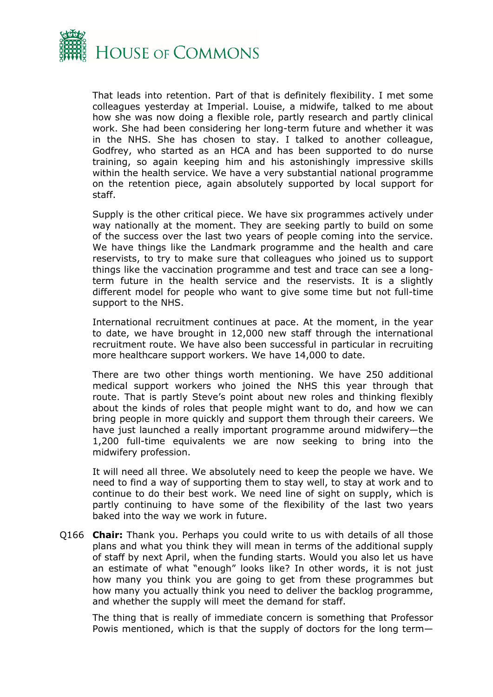

That leads into retention. Part of that is definitely flexibility. I met some colleagues yesterday at Imperial. Louise, a midwife, talked to me about how she was now doing a flexible role, partly research and partly clinical work. She had been considering her long-term future and whether it was in the NHS. She has chosen to stay. I talked to another colleague, Godfrey, who started as an HCA and has been supported to do nurse training, so again keeping him and his astonishingly impressive skills within the health service. We have a very substantial national programme on the retention piece, again absolutely supported by local support for staff.

Supply is the other critical piece. We have six programmes actively under way nationally at the moment. They are seeking partly to build on some of the success over the last two years of people coming into the service. We have things like the Landmark programme and the health and care reservists, to try to make sure that colleagues who joined us to support things like the vaccination programme and test and trace can see a longterm future in the health service and the reservists. It is a slightly different model for people who want to give some time but not full-time support to the NHS.

International recruitment continues at pace. At the moment, in the year to date, we have brought in 12,000 new staff through the international recruitment route. We have also been successful in particular in recruiting more healthcare support workers. We have 14,000 to date.

There are two other things worth mentioning. We have 250 additional medical support workers who joined the NHS this year through that route. That is partly Steve's point about new roles and thinking flexibly about the kinds of roles that people might want to do, and how we can bring people in more quickly and support them through their careers. We have just launched a really important programme around midwifery—the 1,200 full-time equivalents we are now seeking to bring into the midwifery profession.

It will need all three. We absolutely need to keep the people we have. We need to find a way of supporting them to stay well, to stay at work and to continue to do their best work. We need line of sight on supply, which is partly continuing to have some of the flexibility of the last two years baked into the way we work in future.

Q166 **Chair:** Thank you. Perhaps you could write to us with details of all those plans and what you think they will mean in terms of the additional supply of staff by next April, when the funding starts. Would you also let us have an estimate of what "enough" looks like? In other words, it is not just how many you think you are going to get from these programmes but how many you actually think you need to deliver the backlog programme, and whether the supply will meet the demand for staff.

The thing that is really of immediate concern is something that Professor Powis mentioned, which is that the supply of doctors for the long term—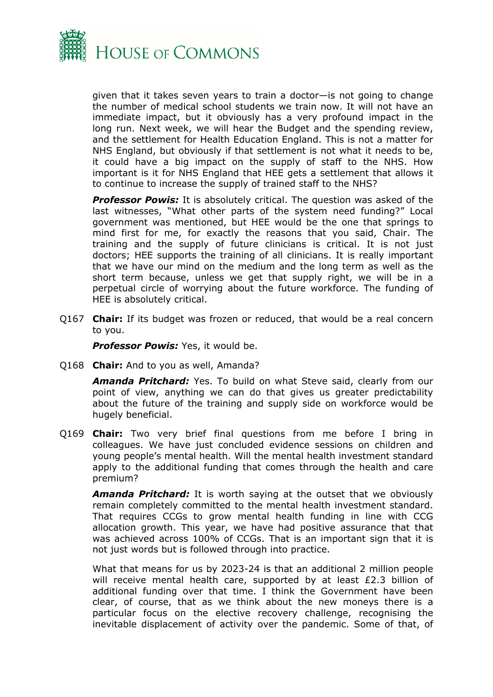

given that it takes seven years to train a doctor—is not going to change the number of medical school students we train now. It will not have an immediate impact, but it obviously has a very profound impact in the long run. Next week, we will hear the Budget and the spending review, and the settlement for Health Education England. This is not a matter for NHS England, but obviously if that settlement is not what it needs to be, it could have a big impact on the supply of staff to the NHS. How important is it for NHS England that HEE gets a settlement that allows it to continue to increase the supply of trained staff to the NHS?

*Professor Powis:* It is absolutely critical. The question was asked of the last witnesses, "What other parts of the system need funding?" Local government was mentioned, but HEE would be the one that springs to mind first for me, for exactly the reasons that you said, Chair. The training and the supply of future clinicians is critical. It is not just doctors; HEE supports the training of all clinicians. It is really important that we have our mind on the medium and the long term as well as the short term because, unless we get that supply right, we will be in a perpetual circle of worrying about the future workforce. The funding of HEE is absolutely critical.

Q167 **Chair:** If its budget was frozen or reduced, that would be a real concern to you.

*Professor Powis:* Yes, it would be.

Q168 **Chair:** And to you as well, Amanda?

*Amanda Pritchard:* Yes. To build on what Steve said, clearly from our point of view, anything we can do that gives us greater predictability about the future of the training and supply side on workforce would be hugely beneficial.

Q169 **Chair:** Two very brief final questions from me before I bring in colleagues. We have just concluded evidence sessions on children and young people's mental health. Will the mental health investment standard apply to the additional funding that comes through the health and care premium?

*Amanda Pritchard:* It is worth saying at the outset that we obviously remain completely committed to the mental health investment standard. That requires CCGs to grow mental health funding in line with CCG allocation growth. This year, we have had positive assurance that that was achieved across 100% of CCGs. That is an important sign that it is not just words but is followed through into practice.

What that means for us by 2023-24 is that an additional 2 million people will receive mental health care, supported by at least £2.3 billion of additional funding over that time. I think the Government have been clear, of course, that as we think about the new moneys there is a particular focus on the elective recovery challenge, recognising the inevitable displacement of activity over the pandemic. Some of that, of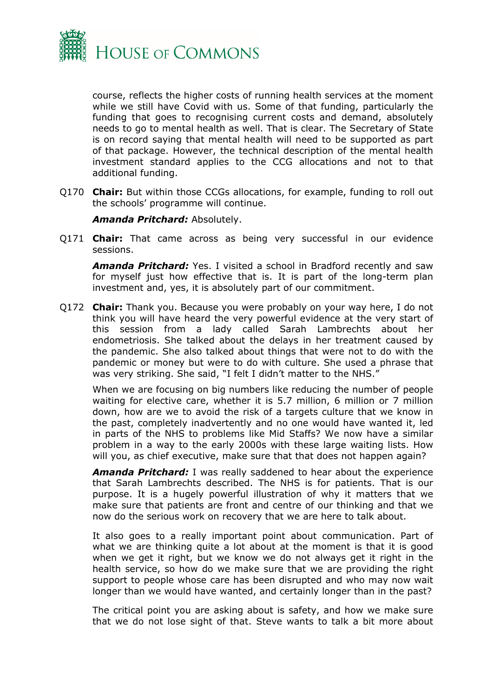

course, reflects the higher costs of running health services at the moment while we still have Covid with us. Some of that funding, particularly the funding that goes to recognising current costs and demand, absolutely needs to go to mental health as well. That is clear. The Secretary of State is on record saying that mental health will need to be supported as part of that package. However, the technical description of the mental health investment standard applies to the CCG allocations and not to that additional funding.

Q170 **Chair:** But within those CCGs allocations, for example, funding to roll out the schools' programme will continue.

#### *Amanda Pritchard:* Absolutely.

Q171 **Chair:** That came across as being very successful in our evidence sessions.

*Amanda Pritchard:* Yes. I visited a school in Bradford recently and saw for myself just how effective that is. It is part of the long-term plan investment and, yes, it is absolutely part of our commitment.

Q172 **Chair:** Thank you. Because you were probably on your way here, I do not think you will have heard the very powerful evidence at the very start of this session from a lady called Sarah Lambrechts about her endometriosis. She talked about the delays in her treatment caused by the pandemic. She also talked about things that were not to do with the pandemic or money but were to do with culture. She used a phrase that was very striking. She said, "I felt I didn't matter to the NHS."

When we are focusing on big numbers like reducing the number of people waiting for elective care, whether it is 5.7 million, 6 million or 7 million down, how are we to avoid the risk of a targets culture that we know in the past, completely inadvertently and no one would have wanted it, led in parts of the NHS to problems like Mid Staffs? We now have a similar problem in a way to the early 2000s with these large waiting lists. How will you, as chief executive, make sure that that does not happen again?

*Amanda Pritchard:* I was really saddened to hear about the experience that Sarah Lambrechts described. The NHS is for patients. That is our purpose. It is a hugely powerful illustration of why it matters that we make sure that patients are front and centre of our thinking and that we now do the serious work on recovery that we are here to talk about.

It also goes to a really important point about communication. Part of what we are thinking quite a lot about at the moment is that it is good when we get it right, but we know we do not always get it right in the health service, so how do we make sure that we are providing the right support to people whose care has been disrupted and who may now wait longer than we would have wanted, and certainly longer than in the past?

The critical point you are asking about is safety, and how we make sure that we do not lose sight of that. Steve wants to talk a bit more about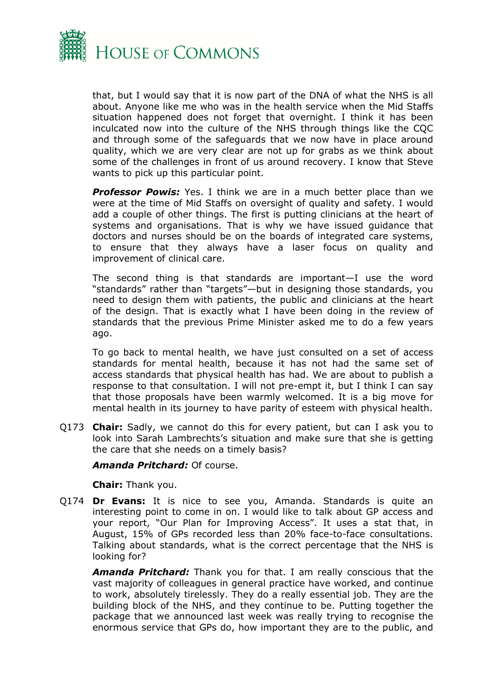

that, but I would say that it is now part of the DNA of what the NHS is all about. Anyone like me who was in the health service when the Mid Staffs situation happened does not forget that overnight. I think it has been inculcated now into the culture of the NHS through things like the CQC and through some of the safeguards that we now have in place around quality, which we are very clear are not up for grabs as we think about some of the challenges in front of us around recovery. I know that Steve wants to pick up this particular point.

*Professor Powis:* Yes. I think we are in a much better place than we were at the time of Mid Staffs on oversight of quality and safety. I would add a couple of other things. The first is putting clinicians at the heart of systems and organisations. That is why we have issued guidance that doctors and nurses should be on the boards of integrated care systems, to ensure that they always have a laser focus on quality and improvement of clinical care.

The second thing is that standards are important—I use the word "standards" rather than "targets"—but in designing those standards, you need to design them with patients, the public and clinicians at the heart of the design. That is exactly what I have been doing in the review of standards that the previous Prime Minister asked me to do a few years ago.

To go back to mental health, we have just consulted on a set of access standards for mental health, because it has not had the same set of access standards that physical health has had. We are about to publish a response to that consultation. I will not pre-empt it, but I think I can say that those proposals have been warmly welcomed. It is a big move for mental health in its journey to have parity of esteem with physical health.

Q173 **Chair:** Sadly, we cannot do this for every patient, but can I ask you to look into Sarah Lambrechts's situation and make sure that she is getting the care that she needs on a timely basis?

*Amanda Pritchard:* Of course.

**Chair:** Thank you.

Q174 **Dr Evans:** It is nice to see you, Amanda. Standards is quite an interesting point to come in on. I would like to talk about GP access and your report, "Our Plan for Improving Access". It uses a stat that, in August, 15% of GPs recorded less than 20% face-to-face consultations. Talking about standards, what is the correct percentage that the NHS is looking for?

*Amanda Pritchard:* Thank you for that. I am really conscious that the vast majority of colleagues in general practice have worked, and continue to work, absolutely tirelessly. They do a really essential job. They are the building block of the NHS, and they continue to be. Putting together the package that we announced last week was really trying to recognise the enormous service that GPs do, how important they are to the public, and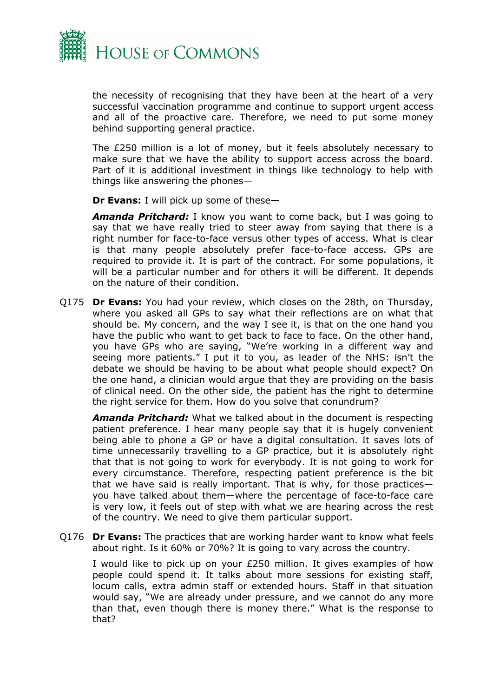

the necessity of recognising that they have been at the heart of a very successful vaccination programme and continue to support urgent access and all of the proactive care. Therefore, we need to put some money behind supporting general practice.

The £250 million is a lot of money, but it feels absolutely necessary to make sure that we have the ability to support access across the board. Part of it is additional investment in things like technology to help with things like answering the phones—

**Dr Evans:** I will pick up some of these—

*Amanda Pritchard:* I know you want to come back, but I was going to say that we have really tried to steer away from saying that there is a right number for face-to-face versus other types of access. What is clear is that many people absolutely prefer face-to-face access. GPs are required to provide it. It is part of the contract. For some populations, it will be a particular number and for others it will be different. It depends on the nature of their condition.

Q175 **Dr Evans:** You had your review, which closes on the 28th, on Thursday, where you asked all GPs to say what their reflections are on what that should be. My concern, and the way I see it, is that on the one hand you have the public who want to get back to face to face. On the other hand, you have GPs who are saying, "We're working in a different way and seeing more patients." I put it to you, as leader of the NHS: isn't the debate we should be having to be about what people should expect? On the one hand, a clinician would argue that they are providing on the basis of clinical need. On the other side, the patient has the right to determine the right service for them. How do you solve that conundrum?

*Amanda Pritchard:* What we talked about in the document is respecting patient preference. I hear many people say that it is hugely convenient being able to phone a GP or have a digital consultation. It saves lots of time unnecessarily travelling to a GP practice, but it is absolutely right that that is not going to work for everybody. It is not going to work for every circumstance. Therefore, respecting patient preference is the bit that we have said is really important. That is why, for those practices you have talked about them—where the percentage of face-to-face care is very low, it feels out of step with what we are hearing across the rest of the country. We need to give them particular support.

Q176 **Dr Evans:** The practices that are working harder want to know what feels about right. Is it 60% or 70%? It is going to vary across the country.

I would like to pick up on your £250 million. It gives examples of how people could spend it. It talks about more sessions for existing staff, locum calls, extra admin staff or extended hours. Staff in that situation would say, "We are already under pressure, and we cannot do any more than that, even though there is money there." What is the response to that?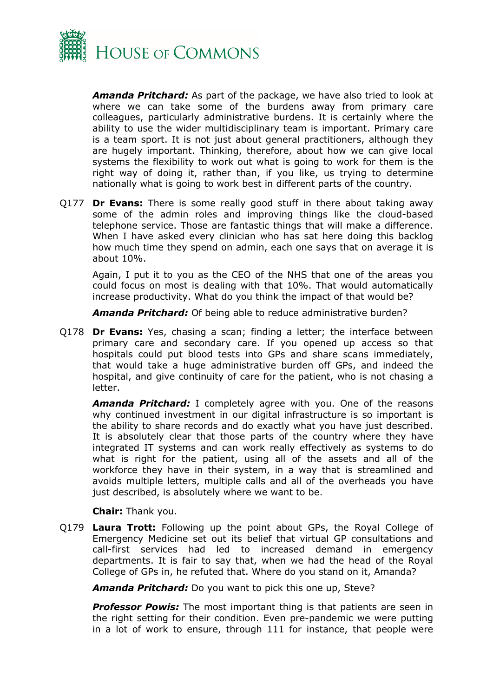

*Amanda Pritchard:* As part of the package, we have also tried to look at where we can take some of the burdens away from primary care colleagues, particularly administrative burdens. It is certainly where the ability to use the wider multidisciplinary team is important. Primary care is a team sport. It is not just about general practitioners, although they are hugely important. Thinking, therefore, about how we can give local systems the flexibility to work out what is going to work for them is the right way of doing it, rather than, if you like, us trying to determine nationally what is going to work best in different parts of the country.

Q177 **Dr Evans:** There is some really good stuff in there about taking away some of the admin roles and improving things like the cloud-based telephone service. Those are fantastic things that will make a difference. When I have asked every clinician who has sat here doing this backlog how much time they spend on admin, each one says that on average it is about 10%.

Again, I put it to you as the CEO of the NHS that one of the areas you could focus on most is dealing with that 10%. That would automatically increase productivity. What do you think the impact of that would be?

*Amanda Pritchard:* Of being able to reduce administrative burden?

Q178 **Dr Evans:** Yes, chasing a scan; finding a letter; the interface between primary care and secondary care. If you opened up access so that hospitals could put blood tests into GPs and share scans immediately, that would take a huge administrative burden off GPs, and indeed the hospital, and give continuity of care for the patient, who is not chasing a letter.

*Amanda Pritchard:* I completely agree with you. One of the reasons why continued investment in our digital infrastructure is so important is the ability to share records and do exactly what you have just described. It is absolutely clear that those parts of the country where they have integrated IT systems and can work really effectively as systems to do what is right for the patient, using all of the assets and all of the workforce they have in their system, in a way that is streamlined and avoids multiple letters, multiple calls and all of the overheads you have just described, is absolutely where we want to be.

**Chair:** Thank you.

Q179 **Laura Trott:** Following up the point about GPs, the Royal College of Emergency Medicine set out its belief that virtual GP consultations and call-first services had led to increased demand in emergency departments. It is fair to say that, when we had the head of the Royal College of GPs in, he refuted that. Where do you stand on it, Amanda?

*Amanda Pritchard:* Do you want to pick this one up, Steve?

**Professor Powis:** The most important thing is that patients are seen in the right setting for their condition. Even pre-pandemic we were putting in a lot of work to ensure, through 111 for instance, that people were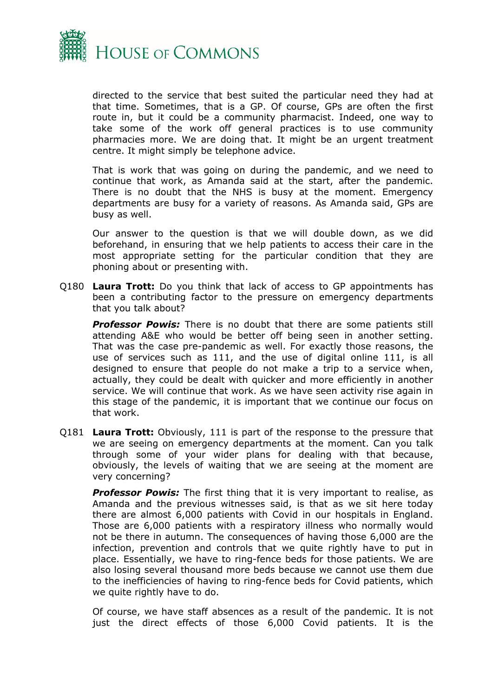

directed to the service that best suited the particular need they had at that time. Sometimes, that is a GP. Of course, GPs are often the first route in, but it could be a community pharmacist. Indeed, one way to take some of the work off general practices is to use community pharmacies more. We are doing that. It might be an urgent treatment centre. It might simply be telephone advice.

That is work that was going on during the pandemic, and we need to continue that work, as Amanda said at the start, after the pandemic. There is no doubt that the NHS is busy at the moment. Emergency departments are busy for a variety of reasons. As Amanda said, GPs are busy as well.

Our answer to the question is that we will double down, as we did beforehand, in ensuring that we help patients to access their care in the most appropriate setting for the particular condition that they are phoning about or presenting with.

Q180 **Laura Trott:** Do you think that lack of access to GP appointments has been a contributing factor to the pressure on emergency departments that you talk about?

*Professor Powis:* There is no doubt that there are some patients still attending A&E who would be better off being seen in another setting. That was the case pre-pandemic as well. For exactly those reasons, the use of services such as 111, and the use of digital online 111, is all designed to ensure that people do not make a trip to a service when, actually, they could be dealt with quicker and more efficiently in another service. We will continue that work. As we have seen activity rise again in this stage of the pandemic, it is important that we continue our focus on that work.

Q181 **Laura Trott:** Obviously, 111 is part of the response to the pressure that we are seeing on emergency departments at the moment. Can you talk through some of your wider plans for dealing with that because, obviously, the levels of waiting that we are seeing at the moment are very concerning?

**Professor Powis:** The first thing that it is very important to realise, as Amanda and the previous witnesses said, is that as we sit here today there are almost 6,000 patients with Covid in our hospitals in England. Those are 6,000 patients with a respiratory illness who normally would not be there in autumn. The consequences of having those 6,000 are the infection, prevention and controls that we quite rightly have to put in place. Essentially, we have to ring-fence beds for those patients. We are also losing several thousand more beds because we cannot use them due to the inefficiencies of having to ring-fence beds for Covid patients, which we quite rightly have to do.

Of course, we have staff absences as a result of the pandemic. It is not just the direct effects of those 6,000 Covid patients. It is the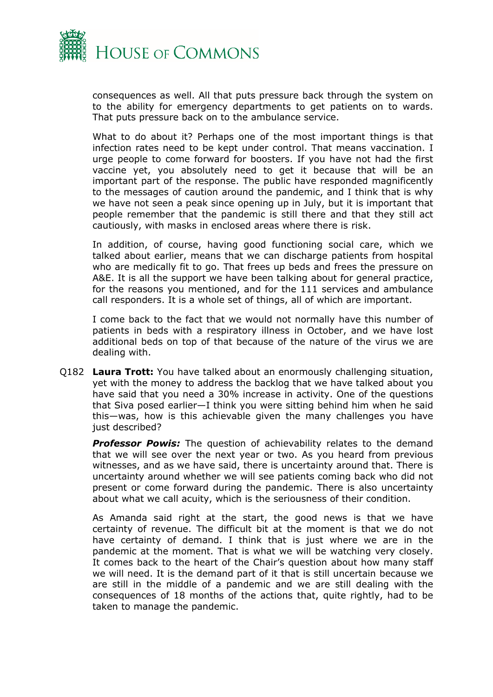

consequences as well. All that puts pressure back through the system on to the ability for emergency departments to get patients on to wards. That puts pressure back on to the ambulance service.

What to do about it? Perhaps one of the most important things is that infection rates need to be kept under control. That means vaccination. I urge people to come forward for boosters. If you have not had the first vaccine yet, you absolutely need to get it because that will be an important part of the response. The public have responded magnificently to the messages of caution around the pandemic, and I think that is why we have not seen a peak since opening up in July, but it is important that people remember that the pandemic is still there and that they still act cautiously, with masks in enclosed areas where there is risk.

In addition, of course, having good functioning social care, which we talked about earlier, means that we can discharge patients from hospital who are medically fit to go. That frees up beds and frees the pressure on A&E. It is all the support we have been talking about for general practice, for the reasons you mentioned, and for the 111 services and ambulance call responders. It is a whole set of things, all of which are important.

I come back to the fact that we would not normally have this number of patients in beds with a respiratory illness in October, and we have lost additional beds on top of that because of the nature of the virus we are dealing with.

Q182 **Laura Trott:** You have talked about an enormously challenging situation, yet with the money to address the backlog that we have talked about you have said that you need a 30% increase in activity. One of the questions that Siva posed earlier—I think you were sitting behind him when he said this—was, how is this achievable given the many challenges you have just described?

**Professor Powis:** The question of achievability relates to the demand that we will see over the next year or two. As you heard from previous witnesses, and as we have said, there is uncertainty around that. There is uncertainty around whether we will see patients coming back who did not present or come forward during the pandemic. There is also uncertainty about what we call acuity, which is the seriousness of their condition.

As Amanda said right at the start, the good news is that we have certainty of revenue. The difficult bit at the moment is that we do not have certainty of demand. I think that is just where we are in the pandemic at the moment. That is what we will be watching very closely. It comes back to the heart of the Chair's question about how many staff we will need. It is the demand part of it that is still uncertain because we are still in the middle of a pandemic and we are still dealing with the consequences of 18 months of the actions that, quite rightly, had to be taken to manage the pandemic.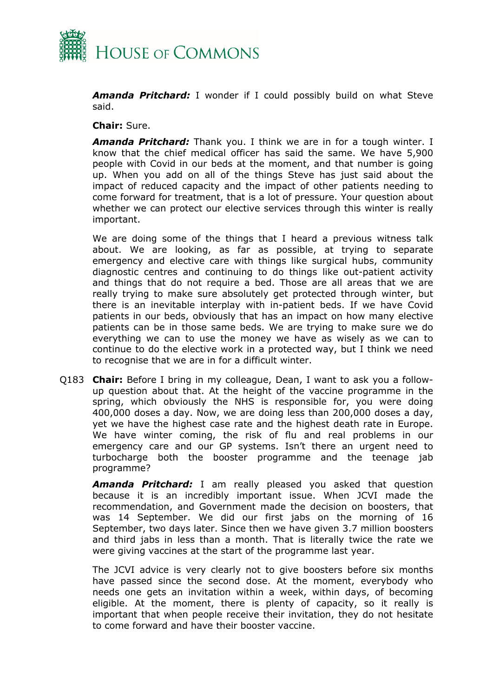

*Amanda Pritchard:* I wonder if I could possibly build on what Steve said.

#### **Chair:** Sure.

*Amanda Pritchard:* Thank you. I think we are in for a tough winter. I know that the chief medical officer has said the same. We have 5,900 people with Covid in our beds at the moment, and that number is going up. When you add on all of the things Steve has just said about the impact of reduced capacity and the impact of other patients needing to come forward for treatment, that is a lot of pressure. Your question about whether we can protect our elective services through this winter is really important.

We are doing some of the things that I heard a previous witness talk about. We are looking, as far as possible, at trying to separate emergency and elective care with things like surgical hubs, community diagnostic centres and continuing to do things like out-patient activity and things that do not require a bed. Those are all areas that we are really trying to make sure absolutely get protected through winter, but there is an inevitable interplay with in-patient beds. If we have Covid patients in our beds, obviously that has an impact on how many elective patients can be in those same beds. We are trying to make sure we do everything we can to use the money we have as wisely as we can to continue to do the elective work in a protected way, but I think we need to recognise that we are in for a difficult winter.

Q183 **Chair:** Before I bring in my colleague, Dean, I want to ask you a followup question about that. At the height of the vaccine programme in the spring, which obviously the NHS is responsible for, you were doing 400,000 doses a day. Now, we are doing less than 200,000 doses a day, yet we have the highest case rate and the highest death rate in Europe. We have winter coming, the risk of flu and real problems in our emergency care and our GP systems. Isn't there an urgent need to turbocharge both the booster programme and the teenage jab programme?

*Amanda Pritchard:* I am really pleased you asked that question because it is an incredibly important issue. When JCVI made the recommendation, and Government made the decision on boosters, that was 14 September. We did our first jabs on the morning of 16 September, two days later. Since then we have given 3.7 million boosters and third jabs in less than a month. That is literally twice the rate we were giving vaccines at the start of the programme last year.

The JCVI advice is very clearly not to give boosters before six months have passed since the second dose. At the moment, everybody who needs one gets an invitation within a week, within days, of becoming eligible. At the moment, there is plenty of capacity, so it really is important that when people receive their invitation, they do not hesitate to come forward and have their booster vaccine.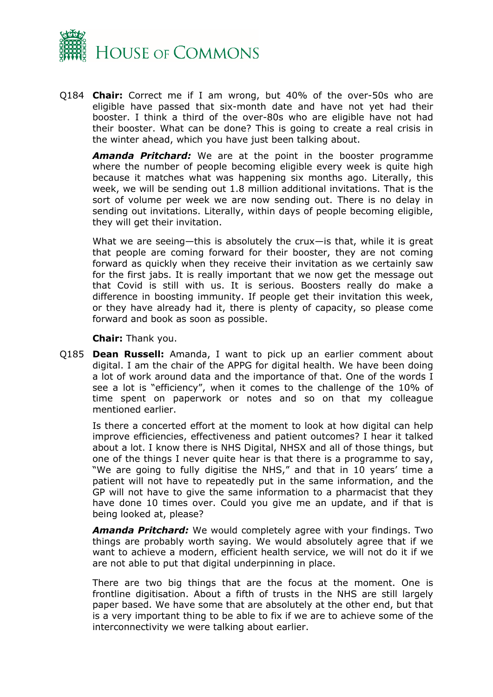

Q184 **Chair:** Correct me if I am wrong, but 40% of the over-50s who are eligible have passed that six-month date and have not yet had their booster. I think a third of the over-80s who are eligible have not had their booster. What can be done? This is going to create a real crisis in the winter ahead, which you have just been talking about.

*Amanda Pritchard:* We are at the point in the booster programme where the number of people becoming eligible every week is quite high because it matches what was happening six months ago. Literally, this week, we will be sending out 1.8 million additional invitations. That is the sort of volume per week we are now sending out. There is no delay in sending out invitations. Literally, within days of people becoming eligible, they will get their invitation.

What we are seeing—this is absolutely the crux—is that, while it is great that people are coming forward for their booster, they are not coming forward as quickly when they receive their invitation as we certainly saw for the first jabs. It is really important that we now get the message out that Covid is still with us. It is serious. Boosters really do make a difference in boosting immunity. If people get their invitation this week, or they have already had it, there is plenty of capacity, so please come forward and book as soon as possible.

**Chair:** Thank you.

Q185 **Dean Russell:** Amanda, I want to pick up an earlier comment about digital. I am the chair of the APPG for digital health. We have been doing a lot of work around data and the importance of that. One of the words I see a lot is "efficiency", when it comes to the challenge of the 10% of time spent on paperwork or notes and so on that my colleague mentioned earlier.

Is there a concerted effort at the moment to look at how digital can help improve efficiencies, effectiveness and patient outcomes? I hear it talked about a lot. I know there is NHS Digital, NHSX and all of those things, but one of the things I never quite hear is that there is a programme to say, "We are going to fully digitise the NHS," and that in 10 years' time a patient will not have to repeatedly put in the same information, and the GP will not have to give the same information to a pharmacist that they have done 10 times over. Could you give me an update, and if that is being looked at, please?

*Amanda Pritchard:* We would completely agree with your findings. Two things are probably worth saying. We would absolutely agree that if we want to achieve a modern, efficient health service, we will not do it if we are not able to put that digital underpinning in place.

There are two big things that are the focus at the moment. One is frontline digitisation. About a fifth of trusts in the NHS are still largely paper based. We have some that are absolutely at the other end, but that is a very important thing to be able to fix if we are to achieve some of the interconnectivity we were talking about earlier.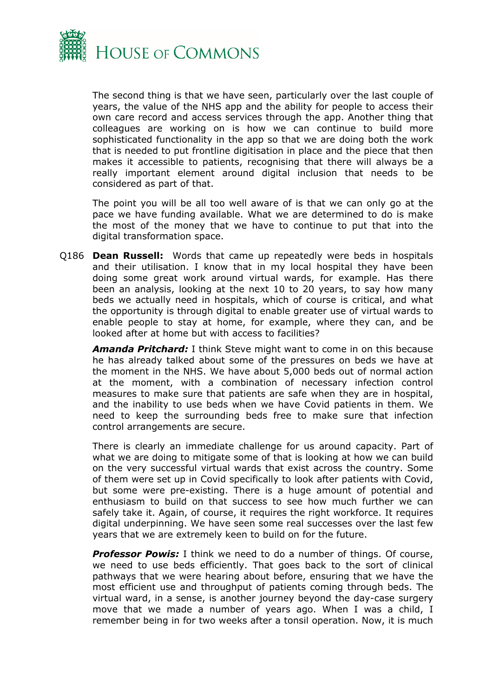

The second thing is that we have seen, particularly over the last couple of years, the value of the NHS app and the ability for people to access their own care record and access services through the app. Another thing that colleagues are working on is how we can continue to build more sophisticated functionality in the app so that we are doing both the work that is needed to put frontline digitisation in place and the piece that then makes it accessible to patients, recognising that there will always be a really important element around digital inclusion that needs to be considered as part of that.

The point you will be all too well aware of is that we can only go at the pace we have funding available. What we are determined to do is make the most of the money that we have to continue to put that into the digital transformation space.

Q186 **Dean Russell:** Words that came up repeatedly were beds in hospitals and their utilisation. I know that in my local hospital they have been doing some great work around virtual wards, for example. Has there been an analysis, looking at the next 10 to 20 years, to say how many beds we actually need in hospitals, which of course is critical, and what the opportunity is through digital to enable greater use of virtual wards to enable people to stay at home, for example, where they can, and be looked after at home but with access to facilities?

*Amanda Pritchard:* I think Steve might want to come in on this because he has already talked about some of the pressures on beds we have at the moment in the NHS. We have about 5,000 beds out of normal action at the moment, with a combination of necessary infection control measures to make sure that patients are safe when they are in hospital, and the inability to use beds when we have Covid patients in them. We need to keep the surrounding beds free to make sure that infection control arrangements are secure.

There is clearly an immediate challenge for us around capacity. Part of what we are doing to mitigate some of that is looking at how we can build on the very successful virtual wards that exist across the country. Some of them were set up in Covid specifically to look after patients with Covid, but some were pre-existing. There is a huge amount of potential and enthusiasm to build on that success to see how much further we can safely take it. Again, of course, it requires the right workforce. It requires digital underpinning. We have seen some real successes over the last few years that we are extremely keen to build on for the future.

*Professor Powis:* I think we need to do a number of things. Of course, we need to use beds efficiently. That goes back to the sort of clinical pathways that we were hearing about before, ensuring that we have the most efficient use and throughput of patients coming through beds. The virtual ward, in a sense, is another journey beyond the day-case surgery move that we made a number of years ago. When I was a child, I remember being in for two weeks after a tonsil operation. Now, it is much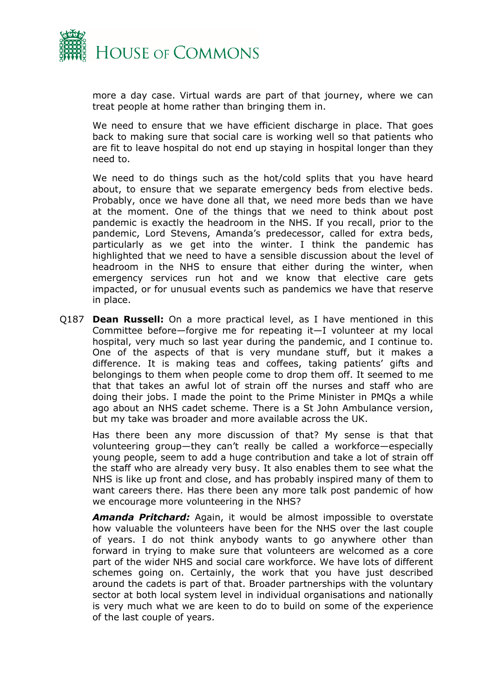

more a day case. Virtual wards are part of that journey, where we can treat people at home rather than bringing them in.

We need to ensure that we have efficient discharge in place. That goes back to making sure that social care is working well so that patients who are fit to leave hospital do not end up staying in hospital longer than they need to.

We need to do things such as the hot/cold splits that you have heard about, to ensure that we separate emergency beds from elective beds. Probably, once we have done all that, we need more beds than we have at the moment. One of the things that we need to think about post pandemic is exactly the headroom in the NHS. If you recall, prior to the pandemic, Lord Stevens, Amanda's predecessor, called for extra beds, particularly as we get into the winter. I think the pandemic has highlighted that we need to have a sensible discussion about the level of headroom in the NHS to ensure that either during the winter, when emergency services run hot and we know that elective care gets impacted, or for unusual events such as pandemics we have that reserve in place.

Q187 **Dean Russell:** On a more practical level, as I have mentioned in this Committee before—forgive me for repeating it—I volunteer at my local hospital, very much so last year during the pandemic, and I continue to. One of the aspects of that is very mundane stuff, but it makes a difference. It is making teas and coffees, taking patients' gifts and belongings to them when people come to drop them off. It seemed to me that that takes an awful lot of strain off the nurses and staff who are doing their jobs. I made the point to the Prime Minister in PMQs a while ago about an NHS cadet scheme. There is a St John Ambulance version, but my take was broader and more available across the UK.

Has there been any more discussion of that? My sense is that that volunteering group—they can't really be called a workforce—especially young people, seem to add a huge contribution and take a lot of strain off the staff who are already very busy. It also enables them to see what the NHS is like up front and close, and has probably inspired many of them to want careers there. Has there been any more talk post pandemic of how we encourage more volunteering in the NHS?

*Amanda Pritchard:* Again, it would be almost impossible to overstate how valuable the volunteers have been for the NHS over the last couple of years. I do not think anybody wants to go anywhere other than forward in trying to make sure that volunteers are welcomed as a core part of the wider NHS and social care workforce. We have lots of different schemes going on. Certainly, the work that you have just described around the cadets is part of that. Broader partnerships with the voluntary sector at both local system level in individual organisations and nationally is very much what we are keen to do to build on some of the experience of the last couple of years.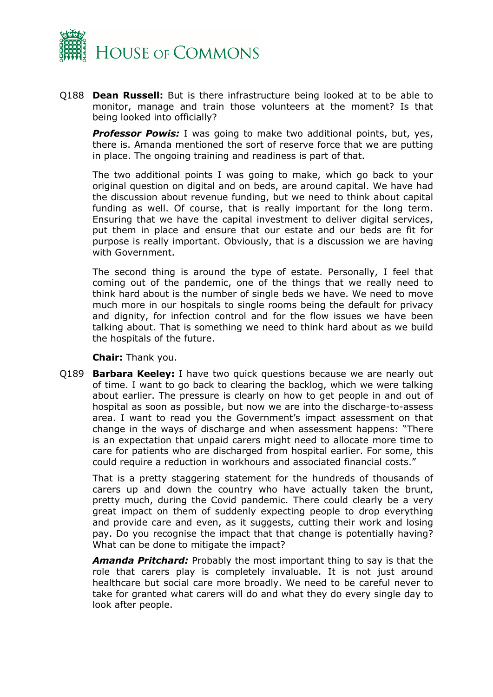

Q188 **Dean Russell:** But is there infrastructure being looked at to be able to monitor, manage and train those volunteers at the moment? Is that being looked into officially?

*Professor Powis:* I was going to make two additional points, but, yes, there is. Amanda mentioned the sort of reserve force that we are putting in place. The ongoing training and readiness is part of that.

The two additional points I was going to make, which go back to your original question on digital and on beds, are around capital. We have had the discussion about revenue funding, but we need to think about capital funding as well. Of course, that is really important for the long term. Ensuring that we have the capital investment to deliver digital services, put them in place and ensure that our estate and our beds are fit for purpose is really important. Obviously, that is a discussion we are having with Government.

The second thing is around the type of estate. Personally, I feel that coming out of the pandemic, one of the things that we really need to think hard about is the number of single beds we have. We need to move much more in our hospitals to single rooms being the default for privacy and dignity, for infection control and for the flow issues we have been talking about. That is something we need to think hard about as we build the hospitals of the future.

**Chair:** Thank you.

Q189 **Barbara Keeley:** I have two quick questions because we are nearly out of time. I want to go back to clearing the backlog, which we were talking about earlier. The pressure is clearly on how to get people in and out of hospital as soon as possible, but now we are into the discharge-to-assess area. I want to read you the Government's impact assessment on that change in the ways of discharge and when assessment happens: "There is an expectation that unpaid carers might need to allocate more time to care for patients who are discharged from hospital earlier. For some, this could require a reduction in workhours and associated financial costs."

That is a pretty staggering statement for the hundreds of thousands of carers up and down the country who have actually taken the brunt, pretty much, during the Covid pandemic. There could clearly be a very great impact on them of suddenly expecting people to drop everything and provide care and even, as it suggests, cutting their work and losing pay. Do you recognise the impact that that change is potentially having? What can be done to mitigate the impact?

*Amanda Pritchard:* Probably the most important thing to say is that the role that carers play is completely invaluable. It is not just around healthcare but social care more broadly. We need to be careful never to take for granted what carers will do and what they do every single day to look after people.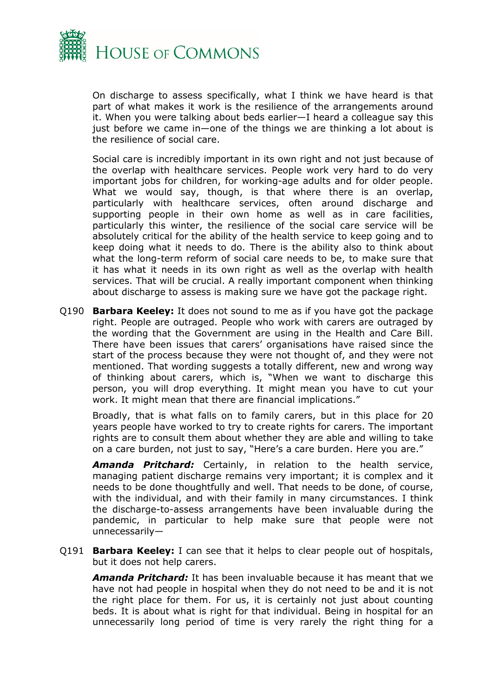

On discharge to assess specifically, what I think we have heard is that part of what makes it work is the resilience of the arrangements around it. When you were talking about beds earlier—I heard a colleague say this just before we came in—one of the things we are thinking a lot about is the resilience of social care.

Social care is incredibly important in its own right and not just because of the overlap with healthcare services. People work very hard to do very important jobs for children, for working-age adults and for older people. What we would say, though, is that where there is an overlap, particularly with healthcare services, often around discharge and supporting people in their own home as well as in care facilities, particularly this winter, the resilience of the social care service will be absolutely critical for the ability of the health service to keep going and to keep doing what it needs to do. There is the ability also to think about what the long-term reform of social care needs to be, to make sure that it has what it needs in its own right as well as the overlap with health services. That will be crucial. A really important component when thinking about discharge to assess is making sure we have got the package right.

Q190 **Barbara Keeley:** It does not sound to me as if you have got the package right. People are outraged. People who work with carers are outraged by the wording that the Government are using in the Health and Care Bill. There have been issues that carers' organisations have raised since the start of the process because they were not thought of, and they were not mentioned. That wording suggests a totally different, new and wrong way of thinking about carers, which is, "When we want to discharge this person, you will drop everything. It might mean you have to cut your work. It might mean that there are financial implications."

Broadly, that is what falls on to family carers, but in this place for 20 years people have worked to try to create rights for carers. The important rights are to consult them about whether they are able and willing to take on a care burden, not just to say, "Here's a care burden. Here you are."

*Amanda Pritchard:* Certainly, in relation to the health service, managing patient discharge remains very important; it is complex and it needs to be done thoughtfully and well. That needs to be done, of course, with the individual, and with their family in many circumstances. I think the discharge-to-assess arrangements have been invaluable during the pandemic, in particular to help make sure that people were not unnecessarily—

Q191 **Barbara Keeley:** I can see that it helps to clear people out of hospitals, but it does not help carers.

*Amanda Pritchard:* It has been invaluable because it has meant that we have not had people in hospital when they do not need to be and it is not the right place for them. For us, it is certainly not just about counting beds. It is about what is right for that individual. Being in hospital for an unnecessarily long period of time is very rarely the right thing for a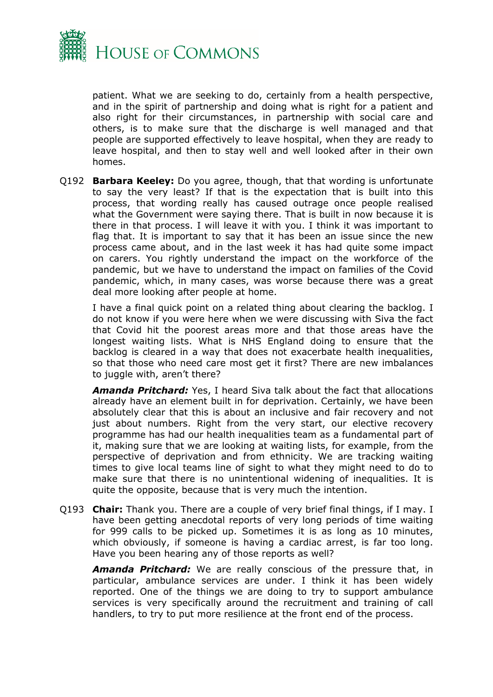

patient. What we are seeking to do, certainly from a health perspective, and in the spirit of partnership and doing what is right for a patient and also right for their circumstances, in partnership with social care and others, is to make sure that the discharge is well managed and that people are supported effectively to leave hospital, when they are ready to leave hospital, and then to stay well and well looked after in their own homes.

Q192 **Barbara Keeley:** Do you agree, though, that that wording is unfortunate to say the very least? If that is the expectation that is built into this process, that wording really has caused outrage once people realised what the Government were saying there. That is built in now because it is there in that process. I will leave it with you. I think it was important to flag that. It is important to say that it has been an issue since the new process came about, and in the last week it has had quite some impact on carers. You rightly understand the impact on the workforce of the pandemic, but we have to understand the impact on families of the Covid pandemic, which, in many cases, was worse because there was a great deal more looking after people at home.

I have a final quick point on a related thing about clearing the backlog. I do not know if you were here when we were discussing with Siva the fact that Covid hit the poorest areas more and that those areas have the longest waiting lists. What is NHS England doing to ensure that the backlog is cleared in a way that does not exacerbate health inequalities, so that those who need care most get it first? There are new imbalances to juggle with, aren't there?

*Amanda Pritchard:* Yes, I heard Siva talk about the fact that allocations already have an element built in for deprivation. Certainly, we have been absolutely clear that this is about an inclusive and fair recovery and not just about numbers. Right from the very start, our elective recovery programme has had our health inequalities team as a fundamental part of it, making sure that we are looking at waiting lists, for example, from the perspective of deprivation and from ethnicity. We are tracking waiting times to give local teams line of sight to what they might need to do to make sure that there is no unintentional widening of inequalities. It is quite the opposite, because that is very much the intention.

Q193 **Chair:** Thank you. There are a couple of very brief final things, if I may. I have been getting anecdotal reports of very long periods of time waiting for 999 calls to be picked up. Sometimes it is as long as 10 minutes, which obviously, if someone is having a cardiac arrest, is far too long. Have you been hearing any of those reports as well?

*Amanda Pritchard:* We are really conscious of the pressure that, in particular, ambulance services are under. I think it has been widely reported. One of the things we are doing to try to support ambulance services is very specifically around the recruitment and training of call handlers, to try to put more resilience at the front end of the process.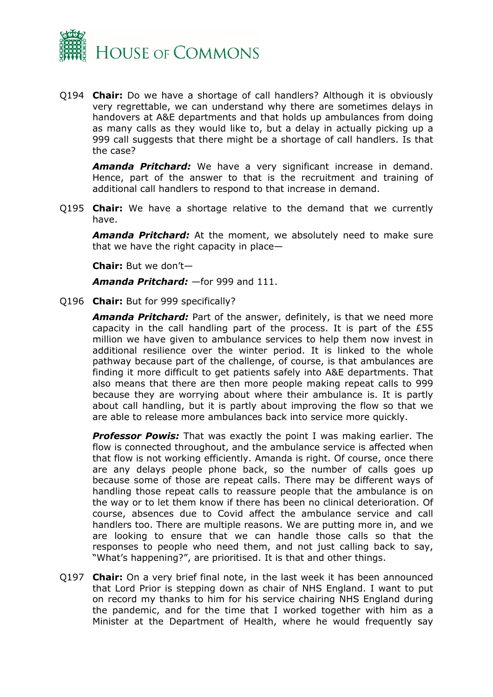

Q194 **Chair:** Do we have a shortage of call handlers? Although it is obviously very regrettable, we can understand why there are sometimes delays in handovers at A&E departments and that holds up ambulances from doing as many calls as they would like to, but a delay in actually picking up a 999 call suggests that there might be a shortage of call handlers. Is that the case?

*Amanda Pritchard:* We have a very significant increase in demand. Hence, part of the answer to that is the recruitment and training of additional call handlers to respond to that increase in demand.

Q195 **Chair:** We have a shortage relative to the demand that we currently have.

*Amanda Pritchard:* At the moment, we absolutely need to make sure that we have the right capacity in place—

**Chair:** But we don't—

*Amanda Pritchard:* —for 999 and 111.

Q196 **Chair:** But for 999 specifically?

*Amanda Pritchard:* Part of the answer, definitely, is that we need more capacity in the call handling part of the process. It is part of the £55 million we have given to ambulance services to help them now invest in additional resilience over the winter period. It is linked to the whole pathway because part of the challenge, of course, is that ambulances are finding it more difficult to get patients safely into A&E departments. That also means that there are then more people making repeat calls to 999 because they are worrying about where their ambulance is. It is partly about call handling, but it is partly about improving the flow so that we are able to release more ambulances back into service more quickly.

**Professor Powis:** That was exactly the point I was making earlier. The flow is connected throughout, and the ambulance service is affected when that flow is not working efficiently. Amanda is right. Of course, once there are any delays people phone back, so the number of calls goes up because some of those are repeat calls. There may be different ways of handling those repeat calls to reassure people that the ambulance is on the way or to let them know if there has been no clinical deterioration. Of course, absences due to Covid affect the ambulance service and call handlers too. There are multiple reasons. We are putting more in, and we are looking to ensure that we can handle those calls so that the responses to people who need them, and not just calling back to say, "What's happening?", are prioritised. It is that and other things.

Q197 **Chair:** On a very brief final note, in the last week it has been announced that Lord Prior is stepping down as chair of NHS England. I want to put on record my thanks to him for his service chairing NHS England during the pandemic, and for the time that I worked together with him as a Minister at the Department of Health, where he would frequently say